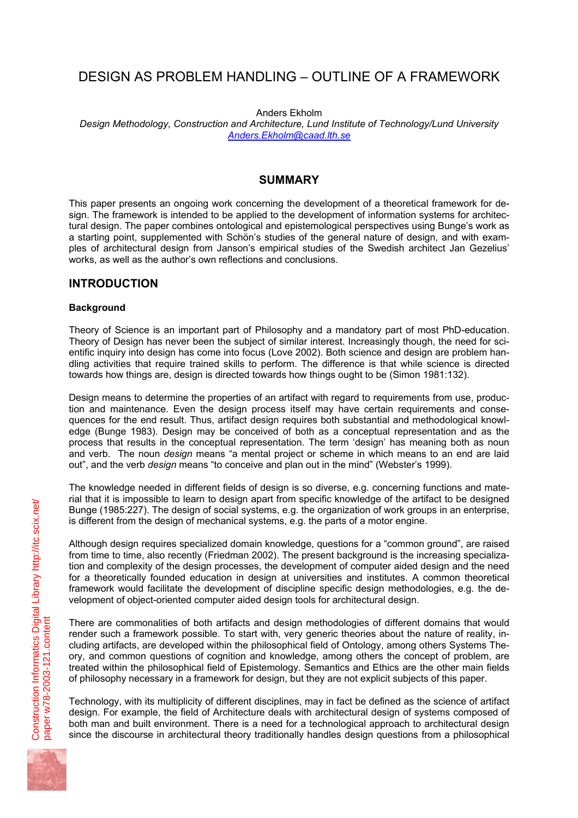# DESIGN AS PROBLEM HANDLING – OUTLINE OF A FRAMEWORK

Anders Ekholm

*Design Methodology, Construction and Architecture, Lund Institute of Technology/Lund University Anders.Ekholm@caad.lth.se*

### **SUMMARY**

This paper presents an ongoing work concerning the development of a theoretical framework for design. The framework is intended to be applied to the development of information systems for architectural design. The paper combines ontological and epistemological perspectives using Bunge's work as a starting point, supplemented with Schön's studies of the general nature of design, and with examples of architectural design from Janson's empirical studies of the Swedish architect Jan Gezelius' works, as well as the author's own reflections and conclusions.

# **INTRODUCTION**

### **Background**

Theory of Science is an important part of Philosophy and a mandatory part of most PhD-education. Theory of Design has never been the subject of similar interest. Increasingly though, the need for scientific inquiry into design has come into focus (Love 2002). Both science and design are problem handling activities that require trained skills to perform. The difference is that while science is directed towards how things are, design is directed towards how things ought to be (Simon 1981:132).

Design means to determine the properties of an artifact with regard to requirements from use, production and maintenance. Even the design process itself may have certain requirements and consequences for the end result. Thus, artifact design requires both substantial and methodological knowledge (Bunge 1983). Design may be conceived of both as a conceptual representation and as the process that results in the conceptual representation. The term 'design' has meaning both as noun and verb. The noun *design* means "a mental project or scheme in which means to an end are laid out", and the verb *design* means "to conceive and plan out in the mind" (Webster's 1999).

The knowledge needed in different fields of design is so diverse, e.g. concerning functions and material that it is impossible to learn to design apart from specific knowledge of the artifact to be designed Bunge (1985:227). The design of social systems, e.g. the organization of work groups in an enterprise, is different from the design of mechanical systems, e.g. the parts of a motor engine.

Although design requires specialized domain knowledge, questions for a "common ground", are raised from time to time, also recently (Friedman 2002). The present background is the increasing specialization and complexity of the design processes, the development of computer aided design and the need for a theoretically founded education in design at universities and institutes. A common theoretical framework would facilitate the development of discipline specific design methodologies, e.g. the development of object-oriented computer aided design tools for architectural design.

There are commonalities of both artifacts and design methodologies of different domains that would render such a framework possible. To start with, very generic theories about the nature of reality, including artifacts, are developed within the philosophical field of Ontology, among others Systems Theory, and common questions of cognition and knowledge, among others the concept of problem, are treated within the philosophical field of Epistemology. Semantics and Ethics are the other main fields of philosophy necessary in a framework for design, but they are not explicit subjects of this paper.

Technology, with its multiplicity of different disciplines, may in fact be defined as the science of artifact design. For example, the field of Architecture deals with architectural design of systems composed of both man and built environment. There is a need for a technological approach to architectural design since the discourse in architectural theory traditionally handles design questions from a philosophical

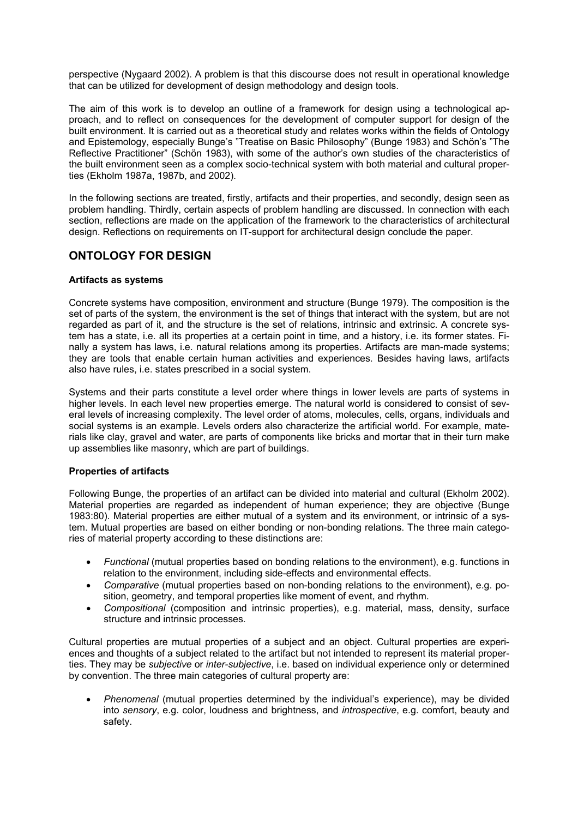perspective (Nygaard 2002). A problem is that this discourse does not result in operational knowledge that can be utilized for development of design methodology and design tools.

The aim of this work is to develop an outline of a framework for design using a technological approach, and to reflect on consequences for the development of computer support for design of the built environment. It is carried out as a theoretical study and relates works within the fields of Ontology and Epistemology, especially Bunge's "Treatise on Basic Philosophy" (Bunge 1983) and Schön's "The Reflective Practitioner" (Schön 1983), with some of the author's own studies of the characteristics of the built environment seen as a complex socio-technical system with both material and cultural properties (Ekholm 1987a, 1987b, and 2002).

In the following sections are treated, firstly, artifacts and their properties, and secondly, design seen as problem handling. Thirdly, certain aspects of problem handling are discussed. In connection with each section, reflections are made on the application of the framework to the characteristics of architectural design. Reflections on requirements on IT-support for architectural design conclude the paper.

# **ONTOLOGY FOR DESIGN**

#### **Artifacts as systems**

Concrete systems have composition, environment and structure (Bunge 1979). The composition is the set of parts of the system, the environment is the set of things that interact with the system, but are not regarded as part of it, and the structure is the set of relations, intrinsic and extrinsic. A concrete system has a state, i.e. all its properties at a certain point in time, and a history, i.e. its former states. Finally a system has laws, i.e. natural relations among its properties. Artifacts are man-made systems; they are tools that enable certain human activities and experiences. Besides having laws, artifacts also have rules, i.e. states prescribed in a social system.

Systems and their parts constitute a level order where things in lower levels are parts of systems in higher levels. In each level new properties emerge. The natural world is considered to consist of several levels of increasing complexity. The level order of atoms, molecules, cells, organs, individuals and social systems is an example. Levels orders also characterize the artificial world. For example, materials like clay, gravel and water, are parts of components like bricks and mortar that in their turn make up assemblies like masonry, which are part of buildings.

#### **Properties of artifacts**

Following Bunge, the properties of an artifact can be divided into material and cultural (Ekholm 2002). Material properties are regarded as independent of human experience; they are objective (Bunge 1983:80). Material properties are either mutual of a system and its environment, or intrinsic of a system. Mutual properties are based on either bonding or non-bonding relations. The three main categories of material property according to these distinctions are:

- *Functional* (mutual properties based on bonding relations to the environment), e.g. functions in relation to the environment, including side-effects and environmental effects.
- *Comparative* (mutual properties based on non-bonding relations to the environment), e.g. position, geometry, and temporal properties like moment of event, and rhythm.
- *Compositional* (composition and intrinsic properties), e.g. material, mass, density, surface structure and intrinsic processes.

Cultural properties are mutual properties of a subject and an object. Cultural properties are experiences and thoughts of a subject related to the artifact but not intended to represent its material properties. They may be *subjective* or *inter-subjective*, i.e. based on individual experience only or determined by convention. The three main categories of cultural property are:

• *Phenomenal* (mutual properties determined by the individual's experience), may be divided into *sensory*, e.g. color, loudness and brightness, and *introspective*, e.g. comfort, beauty and safety.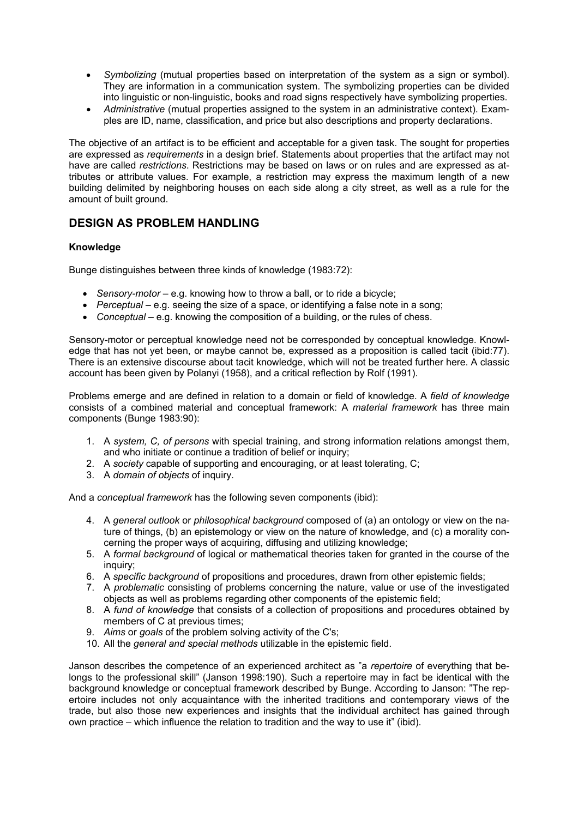- *Symbolizing* (mutual properties based on interpretation of the system as a sign or symbol). They are information in a communication system. The symbolizing properties can be divided into linguistic or non-linguistic, books and road signs respectively have symbolizing properties.
- *Administrative* (mutual properties assigned to the system in an administrative context). Examples are ID, name, classification, and price but also descriptions and property declarations.

The objective of an artifact is to be efficient and acceptable for a given task. The sought for properties are expressed as *requirements* in a design brief. Statements about properties that the artifact may not have are called *restrictions*. Restrictions may be based on laws or on rules and are expressed as attributes or attribute values. For example, a restriction may express the maximum length of a new building delimited by neighboring houses on each side along a city street, as well as a rule for the amount of built ground.

# **DESIGN AS PROBLEM HANDLING**

### **Knowledge**

Bunge distinguishes between three kinds of knowledge (1983:72):

- *Sensory-motor* e.g. knowing how to throw a ball, or to ride a bicycle;
- *Perceptual* e.g. seeing the size of a space, or identifying a false note in a song;
- *Conceptual* e.g. knowing the composition of a building, or the rules of chess.

Sensory-motor or perceptual knowledge need not be corresponded by conceptual knowledge. Knowledge that has not yet been, or maybe cannot be, expressed as a proposition is called tacit (ibid:77). There is an extensive discourse about tacit knowledge, which will not be treated further here. A classic account has been given by Polanyi (1958), and a critical reflection by Rolf (1991).

Problems emerge and are defined in relation to a domain or field of knowledge. A *field of knowledge* consists of a combined material and conceptual framework: A *material framework* has three main components (Bunge 1983:90):

- 1. A *system, C, of persons* with special training, and strong information relations amongst them, and who initiate or continue a tradition of belief or inquiry;
- 2. A *society* capable of supporting and encouraging, or at least tolerating, C;
- 3. A *domain of objects* of inquiry.

And a *conceptual framework* has the following seven components (ibid):

- 4. A *general outlook* or *philosophical background* composed of (a) an ontology or view on the nature of things, (b) an epistemology or view on the nature of knowledge, and (c) a morality concerning the proper ways of acquiring, diffusing and utilizing knowledge;
- 5. A *formal background* of logical or mathematical theories taken for granted in the course of the inquiry;
- 6. A *specific background* of propositions and procedures, drawn from other epistemic fields;
- 7. A *problematic* consisting of problems concerning the nature, value or use of the investigated objects as well as problems regarding other components of the epistemic field;
- 8. A *fund of knowledge* that consists of a collection of propositions and procedures obtained by members of C at previous times;
- 9. *Aims* or *goals* of the problem solving activity of the C's;
- 10. All the *general and special methods* utilizable in the epistemic field.

Janson describes the competence of an experienced architect as "a *repertoire* of everything that belongs to the professional skill" (Janson 1998:190). Such a repertoire may in fact be identical with the background knowledge or conceptual framework described by Bunge. According to Janson: "The repertoire includes not only acquaintance with the inherited traditions and contemporary views of the trade, but also those new experiences and insights that the individual architect has gained through own practice – which influence the relation to tradition and the way to use it" (ibid).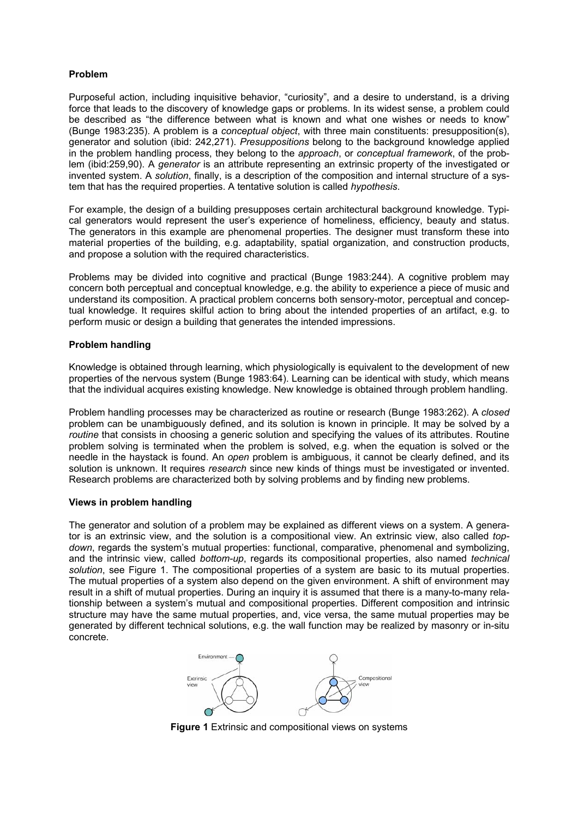### **Problem**

Purposeful action, including inquisitive behavior, "curiosity", and a desire to understand, is a driving force that leads to the discovery of knowledge gaps or problems. In its widest sense, a problem could be described as "the difference between what is known and what one wishes or needs to know" (Bunge 1983:235). A problem is a *conceptual object*, with three main constituents: presupposition(s), generator and solution (ibid: 242,271). *Presuppositions* belong to the background knowledge applied in the problem handling process, they belong to the *approach*, or *conceptual framework*, of the problem (ibid:259,90). A *generator* is an attribute representing an extrinsic property of the investigated or invented system. A *solution*, finally, is a description of the composition and internal structure of a system that has the required properties. A tentative solution is called *hypothesis*.

For example, the design of a building presupposes certain architectural background knowledge. Typical generators would represent the user's experience of homeliness, efficiency, beauty and status. The generators in this example are phenomenal properties. The designer must transform these into material properties of the building, e.g. adaptability, spatial organization, and construction products, and propose a solution with the required characteristics.

Problems may be divided into cognitive and practical (Bunge 1983:244). A cognitive problem may concern both perceptual and conceptual knowledge, e.g. the ability to experience a piece of music and understand its composition. A practical problem concerns both sensory-motor, perceptual and conceptual knowledge. It requires skilful action to bring about the intended properties of an artifact, e.g. to perform music or design a building that generates the intended impressions.

#### **Problem handling**

Knowledge is obtained through learning, which physiologically is equivalent to the development of new properties of the nervous system (Bunge 1983:64). Learning can be identical with study, which means that the individual acquires existing knowledge. New knowledge is obtained through problem handling.

Problem handling processes may be characterized as routine or research (Bunge 1983:262). A *closed* problem can be unambiguously defined, and its solution is known in principle. It may be solved by a *routine* that consists in choosing a generic solution and specifying the values of its attributes. Routine problem solving is terminated when the problem is solved, e.g. when the equation is solved or the needle in the haystack is found. An *open* problem is ambiguous, it cannot be clearly defined, and its solution is unknown. It requires *research* since new kinds of things must be investigated or invented. Research problems are characterized both by solving problems and by finding new problems.

#### **Views in problem handling**

The generator and solution of a problem may be explained as different views on a system. A generator is an extrinsic view, and the solution is a compositional view. An extrinsic view, also called *topdown*, regards the system's mutual properties: functional, comparative, phenomenal and symbolizing, and the intrinsic view, called *bottom-up*, regards its compositional properties, also named *technical solution*, see Figure 1. The compositional properties of a system are basic to its mutual properties. The mutual properties of a system also depend on the given environment. A shift of environment may result in a shift of mutual properties. During an inquiry it is assumed that there is a many-to-many relationship between a system's mutual and compositional properties. Different composition and intrinsic structure may have the same mutual properties, and, vice versa, the same mutual properties may be generated by different technical solutions, e.g. the wall function may be realized by masonry or in-situ concrete.



**Figure 1** Extrinsic and compositional views on systems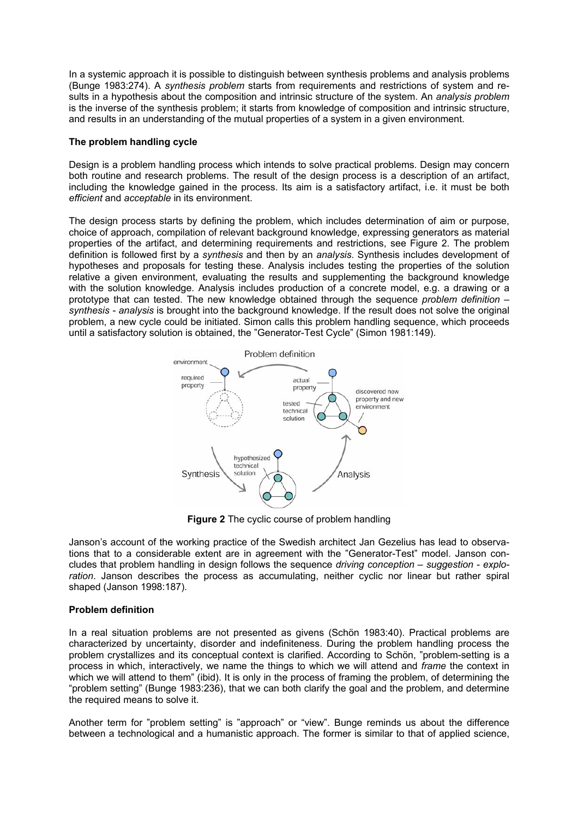In a systemic approach it is possible to distinguish between synthesis problems and analysis problems (Bunge 1983:274). A *synthesis problem* starts from requirements and restrictions of system and results in a hypothesis about the composition and intrinsic structure of the system. An *analysis problem* is the inverse of the synthesis problem; it starts from knowledge of composition and intrinsic structure, and results in an understanding of the mutual properties of a system in a given environment.

#### **The problem handling cycle**

Design is a problem handling process which intends to solve practical problems. Design may concern both routine and research problems. The result of the design process is a description of an artifact, including the knowledge gained in the process. Its aim is a satisfactory artifact, i.e. it must be both *efficient* and *acceptable* in its environment.

The design process starts by defining the problem, which includes determination of aim or purpose, choice of approach, compilation of relevant background knowledge, expressing generators as material properties of the artifact, and determining requirements and restrictions, see Figure 2. The problem definition is followed first by a *synthesis* and then by an *analysis*. Synthesis includes development of hypotheses and proposals for testing these. Analysis includes testing the properties of the solution relative a given environment, evaluating the results and supplementing the background knowledge with the solution knowledge. Analysis includes production of a concrete model, e.g. a drawing or a prototype that can tested. The new knowledge obtained through the sequence *problem definition – synthesis - analysis* is brought into the background knowledge. If the result does not solve the original problem, a new cycle could be initiated. Simon calls this problem handling sequence, which proceeds until a satisfactory solution is obtained, the "Generator-Test Cycle" (Simon 1981:149).



**Figure 2** The cyclic course of problem handling

Janson's account of the working practice of the Swedish architect Jan Gezelius has lead to observations that to a considerable extent are in agreement with the "Generator-Test" model. Janson concludes that problem handling in design follows the sequence *driving conception – suggestion - exploration*. Janson describes the process as accumulating, neither cyclic nor linear but rather spiral shaped (Janson 1998:187).

### **Problem definition**

In a real situation problems are not presented as givens (Schön 1983:40). Practical problems are characterized by uncertainty, disorder and indefiniteness. During the problem handling process the problem crystallizes and its conceptual context is clarified. According to Schön, "problem-setting is a process in which, interactively, we name the things to which we will attend and *frame* the context in which we will attend to them" (ibid). It is only in the process of framing the problem, of determining the "problem setting" (Bunge 1983:236), that we can both clarify the goal and the problem, and determine the required means to solve it.

Another term for "problem setting" is "approach" or "view". Bunge reminds us about the difference between a technological and a humanistic approach. The former is similar to that of applied science,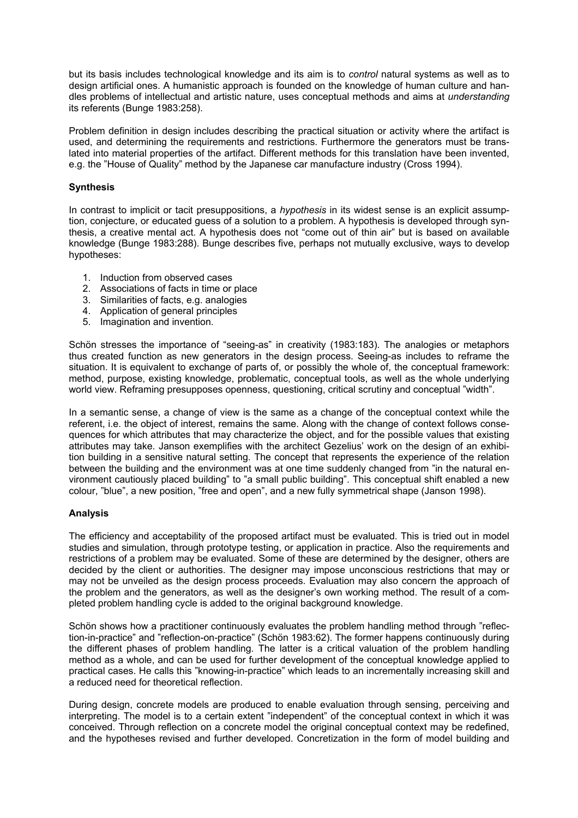but its basis includes technological knowledge and its aim is to *control* natural systems as well as to design artificial ones. A humanistic approach is founded on the knowledge of human culture and handles problems of intellectual and artistic nature, uses conceptual methods and aims at *understanding* its referents (Bunge 1983:258).

Problem definition in design includes describing the practical situation or activity where the artifact is used, and determining the requirements and restrictions. Furthermore the generators must be translated into material properties of the artifact. Different methods for this translation have been invented, e.g. the "House of Quality" method by the Japanese car manufacture industry (Cross 1994).

#### **Synthesis**

In contrast to implicit or tacit presuppositions, a *hypothesis* in its widest sense is an explicit assumption, conjecture, or educated guess of a solution to a problem. A hypothesis is developed through synthesis, a creative mental act. A hypothesis does not "come out of thin air" but is based on available knowledge (Bunge 1983:288). Bunge describes five, perhaps not mutually exclusive, ways to develop hypotheses:

- 1. Induction from observed cases
- 2. Associations of facts in time or place
- 3. Similarities of facts, e.g. analogies
- 4. Application of general principles
- 5. Imagination and invention.

Schön stresses the importance of "seeing-as" in creativity (1983:183). The analogies or metaphors thus created function as new generators in the design process. Seeing-as includes to reframe the situation. It is equivalent to exchange of parts of, or possibly the whole of, the conceptual framework: method, purpose, existing knowledge, problematic, conceptual tools, as well as the whole underlying world view. Reframing presupposes openness, questioning, critical scrutiny and conceptual "width".

In a semantic sense, a change of view is the same as a change of the conceptual context while the referent, i.e. the object of interest, remains the same. Along with the change of context follows consequences for which attributes that may characterize the object, and for the possible values that existing attributes may take. Janson exemplifies with the architect Gezelius' work on the design of an exhibition building in a sensitive natural setting. The concept that represents the experience of the relation between the building and the environment was at one time suddenly changed from "in the natural environment cautiously placed building" to "a small public building". This conceptual shift enabled a new colour, "blue", a new position, "free and open", and a new fully symmetrical shape (Janson 1998).

#### **Analysis**

The efficiency and acceptability of the proposed artifact must be evaluated. This is tried out in model studies and simulation, through prototype testing, or application in practice. Also the requirements and restrictions of a problem may be evaluated. Some of these are determined by the designer, others are decided by the client or authorities. The designer may impose unconscious restrictions that may or may not be unveiled as the design process proceeds. Evaluation may also concern the approach of the problem and the generators, as well as the designer's own working method. The result of a completed problem handling cycle is added to the original background knowledge.

Schön shows how a practitioner continuously evaluates the problem handling method through "reflection-in-practice" and "reflection-on-practice" (Schön 1983:62). The former happens continuously during the different phases of problem handling. The latter is a critical valuation of the problem handling method as a whole, and can be used for further development of the conceptual knowledge applied to practical cases. He calls this "knowing-in-practice" which leads to an incrementally increasing skill and a reduced need for theoretical reflection.

During design, concrete models are produced to enable evaluation through sensing, perceiving and interpreting. The model is to a certain extent "independent" of the conceptual context in which it was conceived. Through reflection on a concrete model the original conceptual context may be redefined, and the hypotheses revised and further developed. Concretization in the form of model building and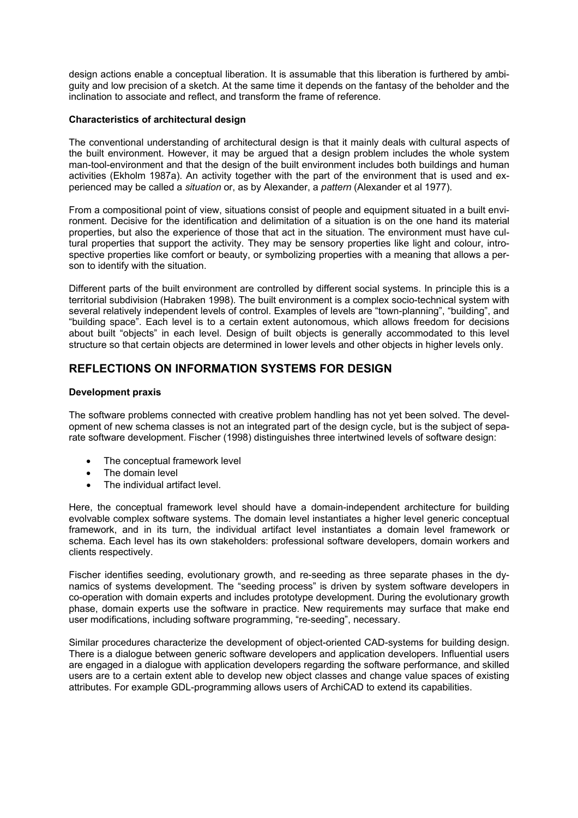design actions enable a conceptual liberation. It is assumable that this liberation is furthered by ambiguity and low precision of a sketch. At the same time it depends on the fantasy of the beholder and the inclination to associate and reflect, and transform the frame of reference.

#### **Characteristics of architectural design**

The conventional understanding of architectural design is that it mainly deals with cultural aspects of the built environment. However, it may be argued that a design problem includes the whole system man-tool-environment and that the design of the built environment includes both buildings and human activities (Ekholm 1987a). An activity together with the part of the environment that is used and experienced may be called a *situation* or, as by Alexander, a *pattern* (Alexander et al 1977).

From a compositional point of view, situations consist of people and equipment situated in a built environment. Decisive for the identification and delimitation of a situation is on the one hand its material properties, but also the experience of those that act in the situation. The environment must have cultural properties that support the activity. They may be sensory properties like light and colour, introspective properties like comfort or beauty, or symbolizing properties with a meaning that allows a person to identify with the situation.

Different parts of the built environment are controlled by different social systems. In principle this is a territorial subdivision (Habraken 1998). The built environment is a complex socio-technical system with several relatively independent levels of control. Examples of levels are "town-planning", "building", and "building space". Each level is to a certain extent autonomous, which allows freedom for decisions about built "objects" in each level. Design of built objects is generally accommodated to this level structure so that certain objects are determined in lower levels and other objects in higher levels only.

# **REFLECTIONS ON INFORMATION SYSTEMS FOR DESIGN**

#### **Development praxis**

The software problems connected with creative problem handling has not yet been solved. The development of new schema classes is not an integrated part of the design cycle, but is the subject of separate software development. Fischer (1998) distinguishes three intertwined levels of software design:

- The conceptual framework level
- The domain level
- The individual artifact level.

Here, the conceptual framework level should have a domain-independent architecture for building evolvable complex software systems. The domain level instantiates a higher level generic conceptual framework, and in its turn, the individual artifact level instantiates a domain level framework or schema. Each level has its own stakeholders: professional software developers, domain workers and clients respectively.

Fischer identifies seeding, evolutionary growth, and re-seeding as three separate phases in the dynamics of systems development. The "seeding process" is driven by system software developers in co-operation with domain experts and includes prototype development. During the evolutionary growth phase, domain experts use the software in practice. New requirements may surface that make end user modifications, including software programming, "re-seeding", necessary.

Similar procedures characterize the development of object-oriented CAD-systems for building design. There is a dialogue between generic software developers and application developers. Influential users are engaged in a dialogue with application developers regarding the software performance, and skilled users are to a certain extent able to develop new object classes and change value spaces of existing attributes. For example GDL-programming allows users of ArchiCAD to extend its capabilities.